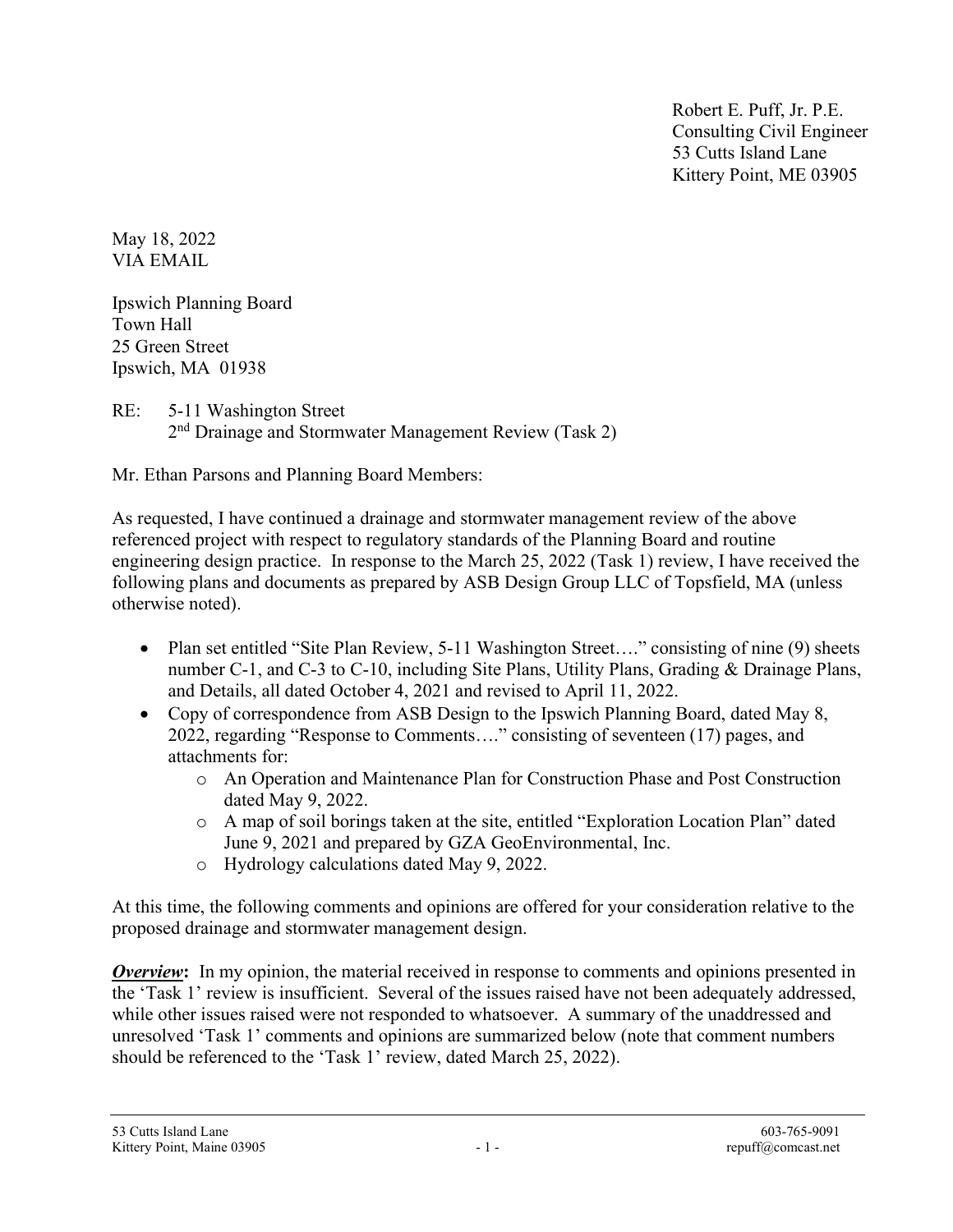Robert E. Puff, Jr. P.E. Consulting Civil Engineer 53 Cutts Island Lane Kittery Point, ME 03905

May 18, 2022 VIA EMAIL

Ipswich Planning Board Town Hall 25 Green Street Ipswich, MA 01938

RE: 5-11 Washington Street 2<sup>nd</sup> Drainage and Stormwater Management Review (Task 2)

Mr. Ethan Parsons and Planning Board Members:

As requested, I have continued a drainage and stormwater management review of the above referenced project with respect to regulatory standards of the Planning Board and routine engineering design practice. In response to the March 25, 2022 (Task 1) review, I have received the following plans and documents as prepared by ASB Design Group LLC of Topsfield, MA (unless otherwise noted).

- Plan set entitled "Site Plan Review, 5-11 Washington Street...." consisting of nine (9) sheets number C-1, and C-3 to C-10, including Site Plans, Utility Plans, Grading & Drainage Plans, and Details, all dated October 4, 2021 and revised to April 11, 2022.
- Copy of correspondence from ASB Design to the Ipswich Planning Board, dated May 8, 2022, regarding "Response to Comments…." consisting of seventeen (17) pages, and attachments for:
	- o An Operation and Maintenance Plan for Construction Phase and Post Construction dated May 9, 2022.
	- o A map of soil borings taken at the site, entitled "Exploration Location Plan" dated June 9, 2021 and prepared by GZA GeoEnvironmental, Inc.
	- o Hydrology calculations dated May 9, 2022.

At this time, the following comments and opinions are offered for your consideration relative to the proposed drainage and stormwater management design.

**Overview:** In my opinion, the material received in response to comments and opinions presented in the 'Task 1' review is insufficient. Several of the issues raised have not been adequately addressed, while other issues raised were not responded to whatsoever. A summary of the unaddressed and unresolved 'Task 1' comments and opinions are summarized below (note that comment numbers should be referenced to the 'Task 1' review, dated March 25, 2022).